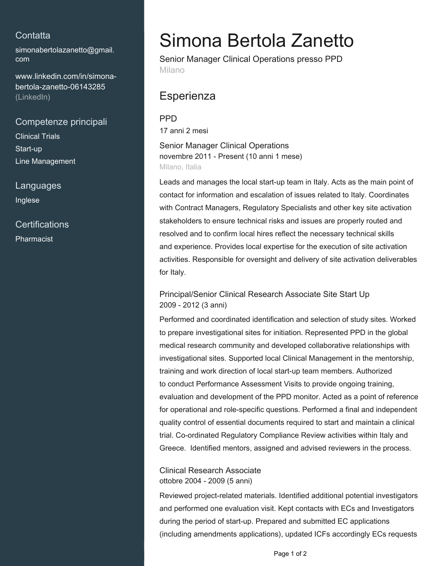### **Contatta**

[simonabertolazanetto@gmail.](mailto:simonabertolazanetto@gmail.com) [com](mailto:simonabertolazanetto@gmail.com)

[www.linkedin.com/in/simona](https://www.linkedin.com/in/simona-bertola-zanetto-06143285?jobid=1234&lipi=urn%3Ali%3Apage%3Ad_jobs_easyapply_pdfgenresume%3BhWN6MT7aTxyBg6bbv%2FYD9w%3D%3D&licu=urn%3Ali%3Acontrol%3Ad_jobs_easyapply_pdfgenresume-v02_profile)[bertola-zanetto-06143285](https://www.linkedin.com/in/simona-bertola-zanetto-06143285?jobid=1234&lipi=urn%3Ali%3Apage%3Ad_jobs_easyapply_pdfgenresume%3BhWN6MT7aTxyBg6bbv%2FYD9w%3D%3D&licu=urn%3Ali%3Acontrol%3Ad_jobs_easyapply_pdfgenresume-v02_profile) [\(LinkedIn\)](https://www.linkedin.com/in/simona-bertola-zanetto-06143285?jobid=1234&lipi=urn%3Ali%3Apage%3Ad_jobs_easyapply_pdfgenresume%3BhWN6MT7aTxyBg6bbv%2FYD9w%3D%3D&licu=urn%3Ali%3Acontrol%3Ad_jobs_easyapply_pdfgenresume-v02_profile)

### Competenze principali

Clinical Trials Start-up Line Management

Languages Inglese

**Certifications** Pharmacist

# Simona Bertola Zanetto

Senior Manager Clinical Operations presso PPD Milano

# **Esperienza**

PPD

17 anni 2 mesi

Senior Manager Clinical Operations novembre 2011 - Present (10 anni 1 mese) Milano, Italia

Leads and manages the local start-up team in Italy. Acts as the main point of contact for information and escalation of issues related to Italy. Coordinates with Contract Managers, Regulatory Specialists and other key site activation stakeholders to ensure technical risks and issues are properly routed and resolved and to confirm local hires reflect the necessary technical skills and experience. Provides local expertise for the execution of site activation activities. Responsible for oversight and delivery of site activation deliverables for Italy.

#### Principal/Senior Clinical Research Associate Site Start Up 2009 - 2012 (3 anni)

Performed and coordinated identification and selection of study sites. Worked to prepare investigational sites for initiation. Represented PPD in the global medical research community and developed collaborative relationships with investigational sites. Supported local Clinical Management in the mentorship, training and work direction of local start-up team members. Authorized to conduct Performance Assessment Visits to provide ongoing training, evaluation and development of the PPD monitor. Acted as a point of reference for operational and role-specific questions. Performed a final and independent quality control of essential documents required to start and maintain a clinical trial. Co-ordinated Regulatory Compliance Review activities within Italy and Greece. Identified mentors, assigned and advised reviewers in the process.

Clinical Research Associate ottobre 2004 - 2009 (5 anni)

Reviewed project-related materials. Identified additional potential investigators and performed one evaluation visit. Kept contacts with ECs and Investigators during the period of start-up. Prepared and submitted EC applications (including amendments applications), updated ICFs accordingly ECs requests